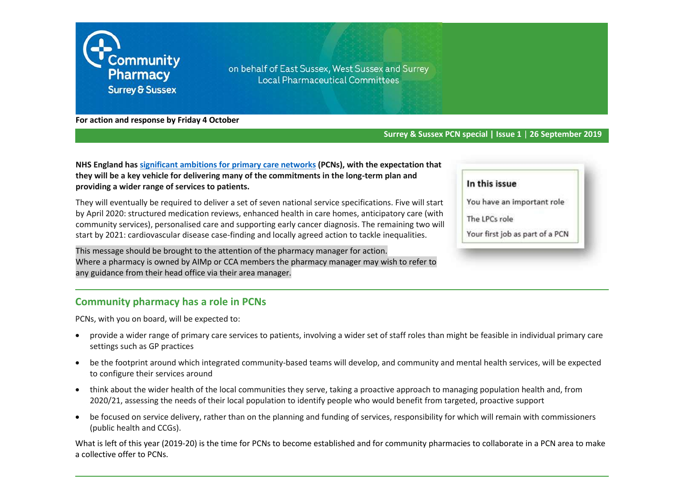

on behalf of East Sussex, West Sussex and Surrey **Local Pharmaceutical Committees** 

**For action and response by Friday 4 October**

#### **Surrey & Sussex PCN special | Issue 1** | **26 September 2019**

**NHS England has [significant ambitions for primary care networks](https://www.england.nhs.uk/gp/gpfv/redesign/primary-care-networks/) (PCNs), with the expectation that they will be a key vehicle for delivering many of the commitments in the long-term plan and providing a wider range of services to patients.**

They will eventually be required to deliver a set of seven national service specifications. Five will start by April 2020: structured medication reviews, enhanced health in care homes, anticipatory care (with community services), personalised care and supporting early cancer diagnosis. The remaining two will start by 2021: cardiovascular disease case-finding and locally agreed action to tackle inequalities.

This message should be brought to the attention of the pharmacy manager for action. Where a pharmacy is owned by AIMp or CCA members the pharmacy manager may wish to refer to any guidance from their head office via their area manager.

#### **Community pharmacy has a role in PCNs**

PCNs, with you on board, will be expected to:

- provide a wider range of primary care services to patients, involving a wider set of staff roles than might be feasible in individual primary care settings such as GP practices
- be the footprint around which integrated community-based teams will develop, and community and mental health services, will be expected to configure their services around
- think about the wider health of the local communities they serve, taking a proactive approach to managing population health and, from 2020/21, assessing the needs of their local population to identify people who would benefit from targeted, proactive support
- be focused on service delivery, rather than on the planning and funding of services, responsibility for which will remain with commissioners (public health and CCGs).

What is left of this year (2019-20) is the time for PCNs to become established and for community pharmacies to collaborate in a PCN area to make a collective offer to PCNs.

| n this issue |  |
|--------------|--|
|--------------|--|

- You have an important role
- The LPCs role
- Your first job as part of a PCN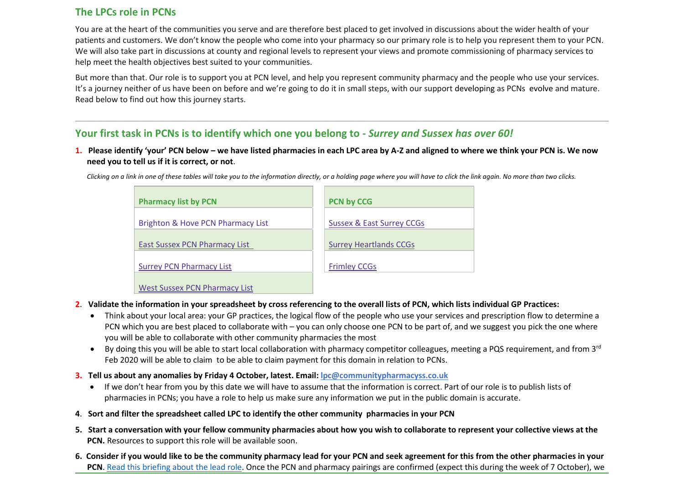# **The LPCs role in PCNs**

You are at the heart of the communities you serve and are therefore best placed to get involved in discussions about the wider health of your patients and customers. We don't know the people who come into your pharmacy so our primary role is to help you represent them to your PCN. We will also take part in discussions at county and regional levels to represent your views and promote commissioning of pharmacy services to help meet the health objectives best suited to your communities.

But more than that. Our role is to support you at PCN level, and help you represent community pharmacy and the people who use your services. It's a journey neither of us have been on before and we're going to do it in small steps, with our support developing as PCNs evolve and mature. Read below to find out how this journey starts.

# **Your first task in PCNs is to identify which one you belong to -** *Surrey and Sussex has over 60!*

**1. Please identify 'your' PCN below – we have listed pharmacies in each LPC area by A-Z and aligned to where we think your PCN is. We now need you to tell us if it is correct, or not**.

| <b>Pharmacy list by PCN</b>          | <b>PCN by CCG</b>             |
|--------------------------------------|-------------------------------|
| Brighton & Hove PCN Pharmacy List    | Sussex & East Surrey CCGs     |
| <b>East Sussex PCN Pharmacy List</b> | <b>Surrey Heartlands CCGs</b> |
| <b>Surrey PCN Pharmacy List</b>      | <b>Frimley CCGs</b>           |
| <b>West Sussex PCN Pharmacy List</b> |                               |

*Clicking on a link in one of these tables will take you to the information directly, or a holding page where you will have to click the link again. No more than two clicks.*

- **2**. **Validate the information in your spreadsheet by cross referencing to the overall lists of PCN, which lists individual GP Practices:**
	- Think about your local area: your GP practices, the logical flow of the people who use your services and prescription flow to determine a PCN which you are best placed to collaborate with – you can only choose one PCN to be part of, and we suggest you pick the one where you will be able to collaborate with other community pharmacies the most
	- By doing this you will be able to start local collaboration with pharmacy competitor colleagues, meeting a PQS requirement, and from  $3^{rd}$ Feb 2020 will be able to claim to be able to claim payment for this domain in relation to PCNs.
- **3. Tell us about any anomalies by Friday 4 October, latest. Email[: lpc@communitypharmacyss.co.uk](mailto:lpc@communitypharmacyss.co.uk)**
	- If we don't hear from you by this date we will have to assume that the information is correct. Part of our role is to publish lists of pharmacies in PCNs; you have a role to help us make sure any information we put in the public domain is accurate.
- **4**. **Sort and filter the spreadsheet called LPC to identify the other community pharmacies in your PCN**
- **5. Start a conversation with your fellow community pharmacies about how you wish to collaborate to represent your collective views at the PCN.** Resources to support this role will be available soon.
- **6. Consider if you would like to be the community pharmacy lead for your PCN and seek agreement for this from the other pharmacies in your PCN**[. Read this briefing about the lead role.](https://psnc.org.uk/communitypharmacyss/wp-content/uploads/sites/121/2019/09/Guidance-for-PCN-Leads-Sept-2019-pdf.pdf) Once the PCN and pharmacy pairings are confirmed (expect this during the week of 7 October), we